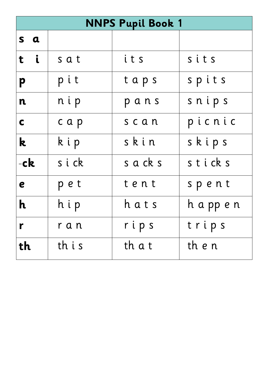|                           | <b>NNPS Pupil Book 1</b> |          |            |  |
|---------------------------|--------------------------|----------|------------|--|
| s a                       |                          |          |            |  |
| t i                       | sat                      | its      | sits       |  |
| p                         | pit                      | taps     | spits      |  |
| n                         | nip                      | pans     | snips      |  |
| $\mathbf C$               | cap                      | scan     | picnic     |  |
| k.                        | kip                      | skin     | skips      |  |
| -ck                       | sick                     | s a ck s | sticks     |  |
| e                         | pet                      | tent     | spent      |  |
| $\boldsymbol{\mathsf{h}}$ | hip                      | hats     | h a pp e n |  |
| r                         | ran                      | rips     | trips      |  |
| th                        | th i s                   | th a t   | th e n     |  |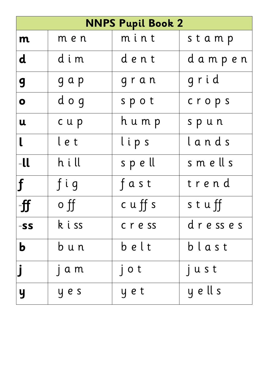|                |            | <b>NNPS Pupil Book 2</b> |         |
|----------------|------------|--------------------------|---------|
| m              | m e n      | mint                     | stamp   |
| $\mathbf d$    | dim        | dent                     | dampen  |
| 9              | g a p      | gran                     | grid    |
| $\bullet$      | dog        | spot                     | crops   |
| U              | cup        | h u m p                  | spun    |
| $\mathsf{L}$   | let        | lips                     | lands   |
| $-ll$          | hill       | spell                    | smells  |
| $\mathbf f$    | fig        | fast                     | trend   |
| -ff            | $\circ$ ff | $c \mathsf{u}$ ff s      | stuff   |
| -SS            | k i ss     | cress                    | dresses |
| $\mathbf b$    | b u n      | belt                     | blast   |
|                | $\int a m$ | jot                      | just    |
| $\overline{y}$ | y e s      | yet                      | y ell s |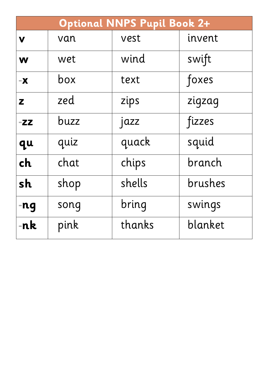|               | <b>Optional NNPS Pupil Book 2+</b> |        |         |  |
|---------------|------------------------------------|--------|---------|--|
| V             | van                                | vest   | invent  |  |
| W             | wet                                | wind   | swift   |  |
| $-\mathbf{X}$ | box                                | text   | foxes   |  |
| Z             | zed                                | zips   | zigzag  |  |
| $-ZZ$         | buzz                               | jazz   | fizzes  |  |
| qu            | quiz                               | quack  | squid   |  |
| ch            | chat                               | chips  | branch  |  |
| sh            | shop                               | shells | brushes |  |
| $-nq$         | song                               | bring  | swings  |  |
| -nk           | pink                               | thanks | blanket |  |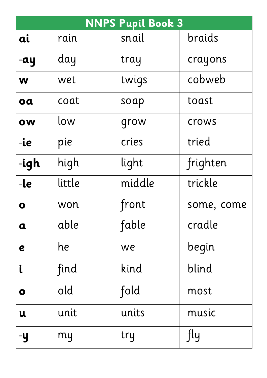|                         | <b>NNPS Pupil Book 3</b> |        |            |  |
|-------------------------|--------------------------|--------|------------|--|
| ai                      | rain                     | snail  | braids     |  |
| -ay                     | day                      | tray   | crayons    |  |
| W                       | wet                      | twigs  | cobweb     |  |
| oa                      | coat                     | soap   | toast      |  |
| ow                      | low                      | grow   | crows      |  |
| $-ie$                   | pie                      | cries  | tried      |  |
| -igh                    | high                     | light  | frighten   |  |
| $-l$ e                  | little                   | middle | trickle    |  |
| O                       | won                      | front  | some, come |  |
| $\mathbf a$             | able                     | fable  | cradle     |  |
| e                       | he                       | we     | begin      |  |
| $\mathbf{i}$            | find                     | kind   | blind      |  |
| $\overline{\mathbf{o}}$ | old                      | fold   | most       |  |
| u                       | unit                     | units  | music      |  |
| -y                      | my                       | try    | fly        |  |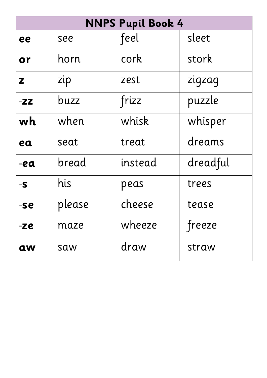|       | <b>NNPS Pupil Book 4</b> |         |          |  |
|-------|--------------------------|---------|----------|--|
| ee    | see                      | feel    | sleet    |  |
| or    | horn                     | cork    | stork    |  |
| Z     | zip                      | zest    | zigzag   |  |
| $-ZZ$ | buzz                     | frizz   | puzzle   |  |
| wh    | when                     | whisk   | whisper  |  |
| ea    | seat                     | treat   | dreams   |  |
| -ea   | bread                    | instead | dreadful |  |
| $-S$  | his                      | peas    | trees    |  |
| -se   | please                   | cheese  | tease    |  |
| -ze   | maze                     | wheeze  | freeze   |  |
| aw    | saw                      | draw    | straw    |  |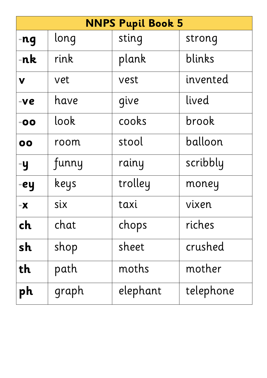|               | <b>NNPS Pupil Book 5</b> |          |           |  |  |
|---------------|--------------------------|----------|-----------|--|--|
| $-ng$         | long                     | sting    | strong    |  |  |
| $-nk$         | rink                     | plank    | blinks    |  |  |
| V             | vet                      | vest     | invented  |  |  |
| $-ve$         | have                     | give     | lived     |  |  |
| $-00$         | look                     | cooks    | brook     |  |  |
| 00            | room                     | stool    | balloon   |  |  |
| -y            | funny                    | rainy    | scribbly  |  |  |
| -ey           | keys                     | trolley  | money     |  |  |
| $-\mathbf{X}$ | six                      | taxi     | vixen     |  |  |
| ch            | chat                     | chops    | riches    |  |  |
| sh            | shop                     | sheet    | crushed   |  |  |
| th            | path                     | moths    | mother    |  |  |
| ph            | graph                    | elephant | telephone |  |  |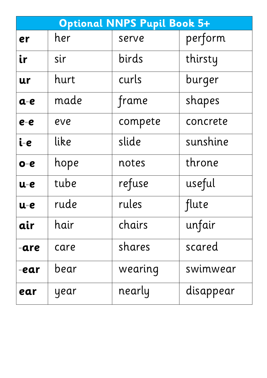|       |      | <b>Optional NNPS Pupil Book 5+</b> |           |
|-------|------|------------------------------------|-----------|
| er    | her  | serve                              | perform   |
| ir    | sir  | birds                              | thirsty   |
| ur    | hurt | curls                              | burger    |
| $a-e$ | made | frame                              | shapes    |
| $e-e$ | eve  | compete                            | concrete  |
| i-e   | like | slide                              | sunshine  |
| $o-e$ | hope | notes                              | throne    |
| u-e   | tube | refuse                             | useful    |
| u-e   | rude | rules                              | flute     |
| air   | hair | chairs                             | unfair    |
| -are  | care | shares                             | scared    |
| -ear  | bear | wearing                            | swimwear  |
| ear   | year | nearly                             | disappear |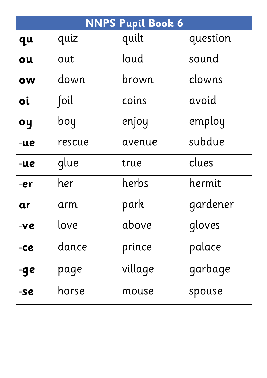| <b>NNPS Pupil Book 6</b> |        |         |          |
|--------------------------|--------|---------|----------|
| qu                       | quiz   | quilt   | question |
| ou                       | out    | loud    | sound    |
| ow                       | down   | brown   | clowns   |
| <b>oi</b>                | foil   | coins   | avoid    |
| oy                       | boy    | enjoy   | employ   |
| -ue                      | rescue | avenue  | subdue   |
| -ue                      | glue   | true    | clues    |
| -er                      | her    | herbs   | hermit   |
| ar                       | arm    | park    | gardener |
| -ve                      | love   | above   | gloves   |
| $-ce$                    | dance  | prince  | palace   |
| -ge                      | page   | village | garbage  |
| -se                      | horse  | mouse   | spouse   |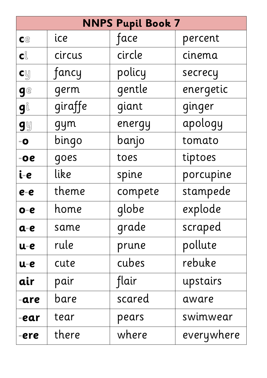|                                   | <b>NNPS Pupil Book 7</b> |         |            |  |
|-----------------------------------|--------------------------|---------|------------|--|
| C                                 | ice                      | face    | percent    |  |
| $\mathbf{C}^{\circ}_{\mathbb{L}}$ | circus                   | circle  | cinema     |  |
| cy                                | fancy                    | policy  | secrecy    |  |
| ge                                | germ                     | gentle  | energetic  |  |
| gů                                | giraffe                  | giant   | ginger     |  |
| <b>gy</b>                         | gym                      | energy  | apology    |  |
| $-\mathbf{O}$                     | bingo                    | banjo   | tomato     |  |
| $-0e$                             | goes                     | toes    | tiptoes    |  |
| i-e                               | like                     | spine   | porcupine  |  |
| $e-e$                             | theme                    | compete | stampede   |  |
| $O - e$                           | home                     | globe   | explode    |  |
| $a-e$                             | same                     | grade   | scraped    |  |
| $u-e$                             | rule                     | prune   | pollute    |  |
| $u-e$                             | cute                     | cubes   | rebuke     |  |
| air                               | pair                     | flair   | upstairs   |  |
| -are                              | bare                     | scared  | aware      |  |
| -ear                              | tear                     | pears   | swimwear   |  |
| -ere                              | there                    | where   | everywhere |  |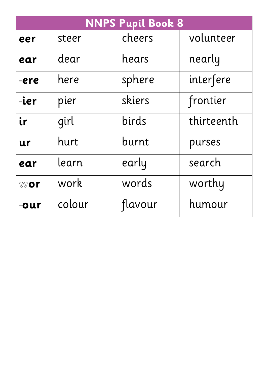| <b>NNPS Pupil Book 8</b> |        |         |            |
|--------------------------|--------|---------|------------|
| eer                      | steer  | cheers  | volunteer  |
| ear                      | dear   | hears   | nearly     |
| -ere                     | here   | sphere  | interfere  |
| -ier                     | pier   | skiers  | frontier   |
| ir                       | girl   | birds   | thirteenth |
| ur                       | hurt   | burnt   | purses     |
| ear                      | learn  | early   | search     |
| <b>wor</b>               | work   | words   | worthy     |
| -our                     | colour | flavour | humour     |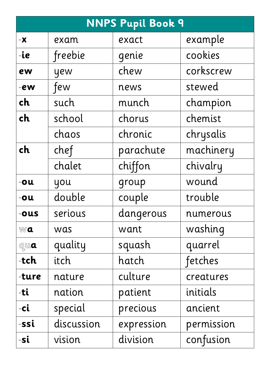|                   | <b>NNPS Pupil Book 9</b> |            |            |  |
|-------------------|--------------------------|------------|------------|--|
| $-\mathbf{X}$     | exam                     | exact      | example    |  |
| $-i$ e            | freebie                  | genie      | cookies    |  |
| ew                | yew                      | chew       | corkscrew  |  |
| $-ew$             | few                      | news       | stewed     |  |
| ch                | such                     | munch      | champion   |  |
| ch                | school                   | chorus     | chemist    |  |
|                   | chaos                    | chronic    | chrysalis  |  |
| ch                | chef                     | parachute  | machinery  |  |
|                   | chalet                   | chiffon    | chivalry   |  |
| $-ou$             | you                      | group      | wound      |  |
| $-ou$             | double                   | couple     | trouble    |  |
| $-ours$           | serious                  | dangerous  | numerous   |  |
| Wa                | was                      | want       | washing    |  |
| $Q_{\text{L}}$ ua | quality                  | squash     | quarrel    |  |
| -tch              | itch                     | hatch      | fetches    |  |
| -ture             | nature                   | culture    | creatures  |  |
| -ti               | nation                   | patient    | initials   |  |
| $-ci$             | special                  | precious   | ancient    |  |
| -ssi              | discussion               | expression | permission |  |
| -si               | vision                   | division   | confusion  |  |